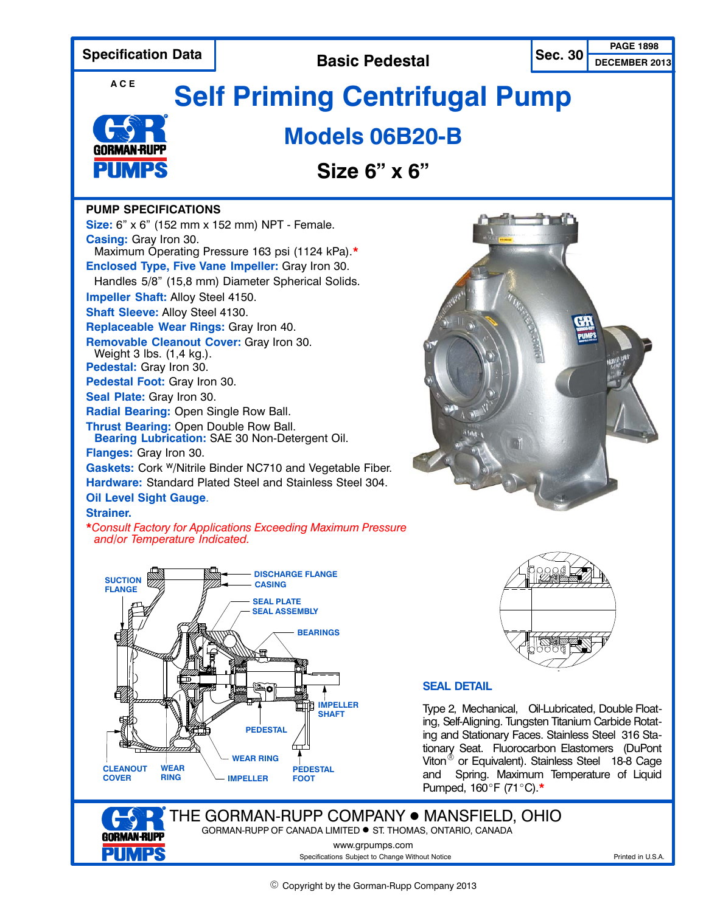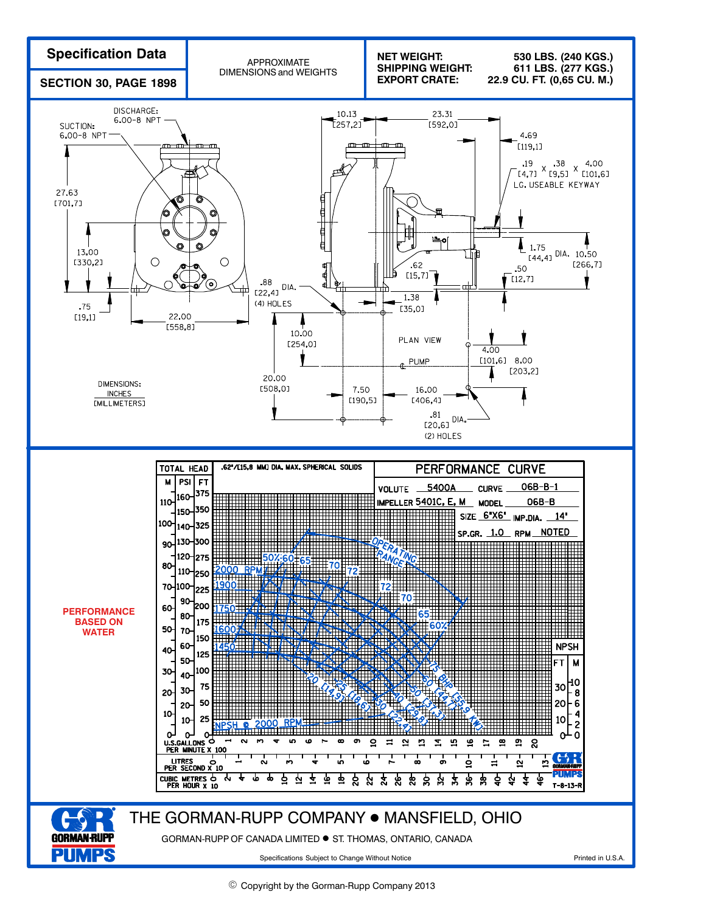